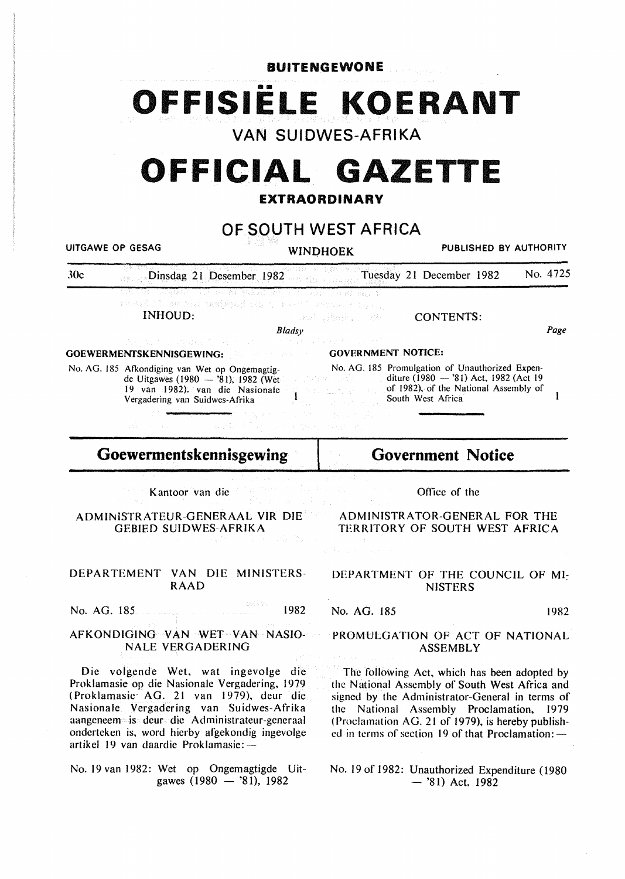**BUITENGEWONE** 

•• **OFFISIELE KOERANT** 

**VAN SUIDWES-AFRIKA** 

# **OFFICIAL GAZETTE**

## **EXTRAORDINARY**

**OF SOUTH WEST AFRICA** 

UITGAWE OP GESAG **WINDHOEK** PUBLISHED BY AUTHORITY

30c Dinsdag 21 Desember 1982 Tuesday 21 December 1982 No. 4725

> de konteksisendeli oleh 197 INHOUD:

And Shaha, 180

CONTENTS:

*Bladsy* 

Ï

GOEWERMENTSKENNISGEWING:

No. AG. 185 Afkondiging van Wet op Ongemagtigde Uitgawes (1980 - '81), 1982 (Wet 19 van 1982). van die Nasionale Vergadering van Suidwes-Afrika

GOVERNMENT NOTICE:

No. AG. 185 Promulgation of Unauthorized Expenditure (1980 - '81) Act, 1982 (Act 19 of 1982), of the National Assembly of South West Africa

**Goewermentskennisgewing** 

Kantoor van die

ADMINiSTRATEUR-GENERAAL VIR DIE GEBIED SUIDWES-AFRIKA

DEPARTEMENT VAN DIE MINISTERS-RAAD

No. AG. 185 **1982** 

## AFKONDIGING VAN WET VAN NASIO-NALE VERGADERING

Die volgende Wet, wat ingevolge die Proklamasie op die Nasionalc Vergadering, 1979 ( Proklamasie· AG. 21 van 1979), deur die Nasionale Vergadering van Suidwes-Afrika aangeneem is deur die Administrateur-generaal onderteken is, word hierby afgekondig ingevolge artikel 19 van daardie Proklamasie: --

No. 19 van 1982: Wet op Ongemagtigde Uitgawes  $(1980 - 81)$ , 1982

**Government Notice** 

Office of the

ADMINISTRATOR-GENERAL FOR THE TERRITORY OF SOUTH WEST AFRICA

DEPARTMENT OF THE COUNCIL OF MI-**NISTERS** 

No. AG. 185 1982

Page

 $\mathbf{I}$ 

## PROMULGATION OF ACT OF NATIONAL ASSEMBLY

The following Act, which has been adopted by the National Assembly of South West Africa and signed by the Administrator-General in terms of the National Assembly Proclamation, 1979 (Proclamation AG. 21 of 1979), is hereby published in terms of section 19 of that Proclamation: $-$ 

No. 19 of 1982: Unauthorized Expenditure (1980  $-$  '81) Act, 1982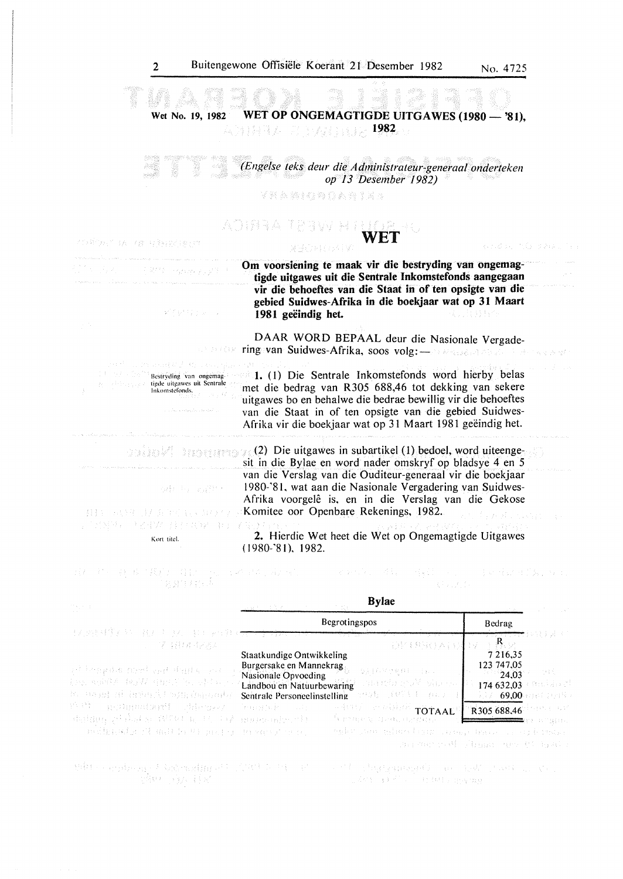ando, no pag.

- 日本国語日形如 ない

Wet No. 19, 1982 WET OP ONGEMAGTIGDE UITGAWES (1980 - '81), 1982 特諾薩索 此 计数器 眼头

*(Engelse teks deur die Administrateur-generaal onderteken op 13 Desember 1982)* 

YKAMQNOARIXA

## no wetha a tra WET

不应其你相当 自我 不敢 电真线的方法 经原生

### Om voorsiening te maak vir die bestryding van ongemagtigde uitgawes uit die Sentrale Inkomstefonds aangegaan vir die behoeftes van die Staat in of ten opsigte van die gebied Suidwes-Afrika in die boekjaar wat op 31 Maart 1981 geëindig het.

DAAR WORD BEPAAL deur die Nasionale Vergade-ES postav ring van Suidwes-Afrika, soos volg: - Alan Alan Alan

> I. (I) Die Sentrale lnkomstefonds word hierby betas met die bedrag van R305 688.46 tot dekking van sekere uitgawes bo en behalwe die bedrae bewillig vir die behoeftes van die Staat in of ten opsigte van die gebied Suidwes-Afrika vir die boekjaar wat op 31 Maart 1981 geëindig het.

> (2} Die uitgawes in subartikel (I) bedoel, word uiteengesit in die Bylae en word nader omskryf op bladsye 4 en 5 van die Verslag van die Ouditeur-generaal vir die boekjaar 1980-'81. wat aan die Nasionale Vergadering van Suidwes-Afrika voorgelê is, en in die Verslag van die Gekose Komitee oor Openbare Rekenings, 1982.

2. Hierdie Wet heet die Wet op Ongemagtigde Uitgawes (1980-'81). 1982.

 $\label{eq:2.1} \zeta_{\rm c} = \pm 2\Phi_{\rm c} \left(2\lambda_{\rm c} \right) \left[ \tilde{A} \tilde{\varphi}_{\rm c} \tilde{\varphi}_{\rm c} \right] \,.$ 日本 井田 身 株に抜け、身計。 그는 사람이 어려워서 말씀하시시다. than Presid

| 法无地起转某人 经工程 医中心反应 电电子电压 化电子 计数据 计计算                                                               | <b>Begrotingspos</b>                                                                                                                                                                                                   | Bedrag                                                                                                                               |
|---------------------------------------------------------------------------------------------------|------------------------------------------------------------------------------------------------------------------------------------------------------------------------------------------------------------------------|--------------------------------------------------------------------------------------------------------------------------------------|
| 1. 1. 1. 1. 1. 1. 1. 1. 1. 1. 1. 1. 1.                                                            | ---- <del>-----------</del><br>________                                                                                                                                                                                | <del>ਪਹਿਰਾਸੀਆਂ</del> ਸਿਖੇ ਸ਼ਹਿਰ<br>$\mathbb{R}_{\geq 0}$                                                                             |
| ad bengata meel een duida ayaan<br>4.95. 网络紫红绿紫花 有粉的 1972 经经济公司<br>R. Hand di have Al will handed | Staatkundige Ontwikkeling<br>Burgersake en Mannekrag<br>每天手段的身材和 (1912)<br>Nasionale Opvoeding<br>Landbou'en Natuurbewaring and the brand show the la<br>- 277245 - 1475年 - 1482年 - 14<br>Sentrale Personeelinstelling | 7 216,35<br>123 747.05<br>- 1951<br>24,03<br>The Gal<br>174 632.03<br><b>69,00</b> and the S<br>医子宫                                  |
| in the permutant offerory<br>duriding plaked as WCO 4, 15, 14 anniversity of the                  | <b>THE REAL PROPERTY TOTAAL</b><br>Teaggraph County<br>in many open control.                                                                                                                                           | R305 688,46<br><b>Representation of the contract of the contract of the contract of the contract of the contract of the contract</b> |
| milkawis ji mal keli pojo nomojoro.                                                               | egler zum geführt dem German bereichten Ertrücken                                                                                                                                                                      | Shared with Shaan are to have                                                                                                        |

Bestryding van ongemagtigde uitgawes uit Sentrale<br>Inkomstefonds.

> **MOUTH** anal Basile<sup>n</sup>

 $\mathfrak{p}^{(n)}\bigcap_{i=1}^n\bigvee_{j=1}^{n-1}\bigwedge_{j=1}^{n-1}\bigwedge_{j=1}^n\bigwedge_{j=1}^n\bigwedge_{j=1}^n\bigwedge_{j=1}^n\bigwedge_{j=1}^n\bigwedge_{j=1}^n\bigwedge_{j=1}^n\bigwedge_{j=1}^n\bigwedge_{j=1}^n\bigwedge_{j=1}^n\bigwedge_{j=1}^n\bigwedge_{j=1}^n\bigwedge_{j=1}^n\bigwedge_{j=1}^n\bigwedge_{j=1}^n\bigwedge_{j=1$ 

odri ha asiliti t

相互 减调 服务部分最小转让 计时图书 医牙骨炎 经开始保证 我们

Kort titd.

Bylae